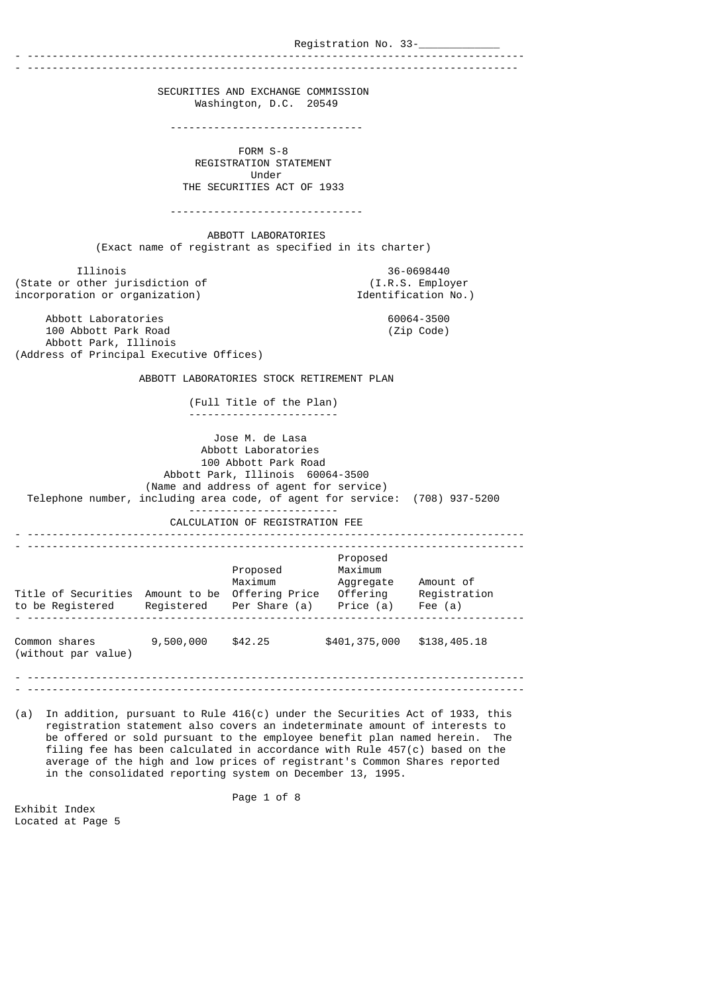Registration No. 33-- -------------------------------------------------------------------------------- - ------------------------------------------------------------------------------- SECURITIES AND EXCHANGE COMMISSION Washington, D.C. 20549 ------------------------------- FORM S-8 REGISTRATION STATEMENT Under THE SECURITIES ACT OF 1933 ------------------------------- ABBOTT LABORATORIES (Exact name of registrant as specified in its charter) Illinois 36-0698440 (State or other jurisdiction of (I.R.S. Employer incorporation or organization) Abbott Laboratories 60064-3500 100 Abbott Park Road Abbott Park, Illinois (Address of Principal Executive Offices) ABBOTT LABORATORIES STOCK RETIREMENT PLAN (Full Title of the Plan) ------------------------ Jose M. de Lasa Abbott Laboratories 100 Abbott Park Road Abbott Park, Illinois 60064-3500 (Name and address of agent for service) Telephone number, including area code, of agent for service: (708) 937-5200 ------------------------ CALCULATION OF REGISTRATION FEE - -------------------------------------------------------------------------------- - -------------------------------------------------------------------------------- Proposed Proposed Maximum Maximum Aggregate Amount of Title of Securities Amount to be Offering Price Offering Registration to be Registered Registered Per Share (a) Price (a) Fee (a) - -------------------------------------------------------------------------------- Common shares 9,500,000 \$42.25 \$401,375,000 \$138,405.18 (without par value) - -------------------------------------------------------------------------------- - -------------------------------------------------------------------------------- (a) In addition, pursuant to Rule 416(c) under the Securities Act of 1933, this

 registration statement also covers an indeterminate amount of interests to be offered or sold pursuant to the employee benefit plan named herein. The filing fee has been calculated in accordance with Rule 457(c) based on the average of the high and low prices of registrant's Common Shares reported in the consolidated reporting system on December 13, 1995.

Page 1 of 8

Exhibit Index Located at Page 5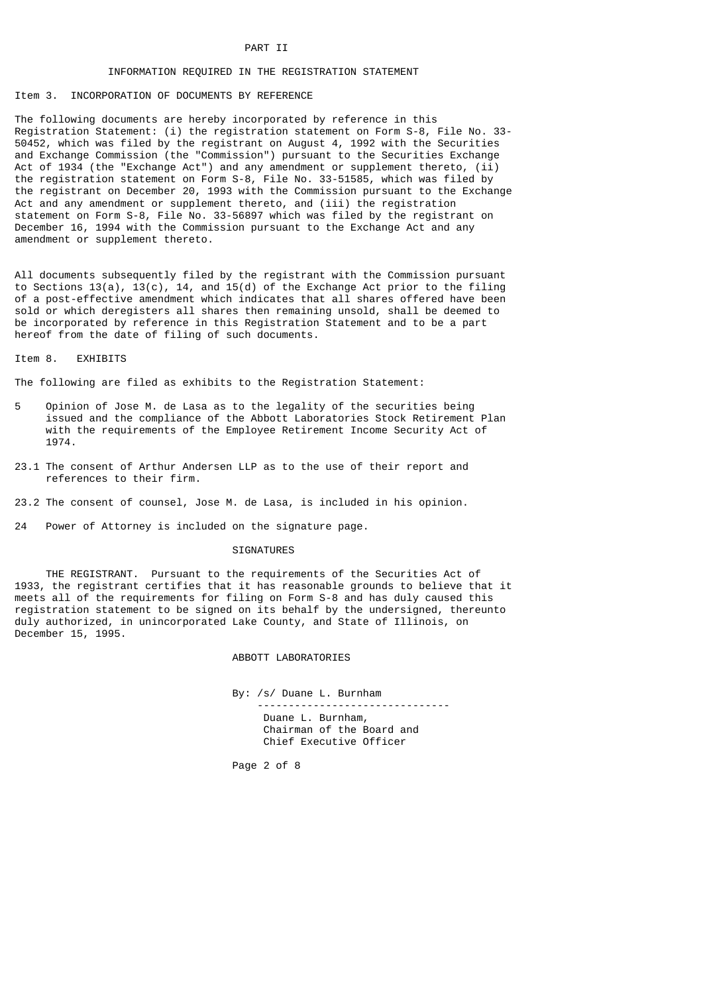# PART II

# INFORMATION REQUIRED IN THE REGISTRATION STATEMENT

## Item 3. INCORPORATION OF DOCUMENTS BY REFERENCE

The following documents are hereby incorporated by reference in this Registration Statement: (i) the registration statement on Form S-8, File No. 33- 50452, which was filed by the registrant on August 4, 1992 with the Securities and Exchange Commission (the "Commission") pursuant to the Securities Exchange Act of 1934 (the "Exchange Act") and any amendment or supplement thereto, (ii) the registration statement on Form S-8, File No. 33-51585, which was filed by the registrant on December 20, 1993 with the Commission pursuant to the Exchange Act and any amendment or supplement thereto, and (iii) the registration statement on Form S-8, File No. 33-56897 which was filed by the registrant on December 16, 1994 with the Commission pursuant to the Exchange Act and any amendment or supplement thereto.

All documents subsequently filed by the registrant with the Commission pursuant to Sections  $13(a)$ ,  $13(c)$ ,  $14$ , and  $15(d)$  of the Exchange Act prior to the filing of a post-effective amendment which indicates that all shares offered have been sold or which deregisters all shares then remaining unsold, shall be deemed to be incorporated by reference in this Registration Statement and to be a part hereof from the date of filing of such documents.

#### Item 8. EXHIBITS

The following are filed as exhibits to the Registration Statement:

- 5 Opinion of Jose M. de Lasa as to the legality of the securities being issued and the compliance of the Abbott Laboratories Stock Retirement Plan with the requirements of the Employee Retirement Income Security Act of 1974.
- 23.1 The consent of Arthur Andersen LLP as to the use of their report and references to their firm.
- 23.2 The consent of counsel, Jose M. de Lasa, is included in his opinion.
- 24 Power of Attorney is included on the signature page.

## SIGNATURES

 THE REGISTRANT. Pursuant to the requirements of the Securities Act of 1933, the registrant certifies that it has reasonable grounds to believe that it meets all of the requirements for filing on Form S-8 and has duly caused this registration statement to be signed on its behalf by the undersigned, thereunto duly authorized, in unincorporated Lake County, and State of Illinois, on December 15, 1995.

# ABBOTT LABORATORIES

 By: /s/ Duane L. Burnham ------------------------------- Duane L. Burnham, Chairman of the Board and Chief Executive Officer

Page 2 of 8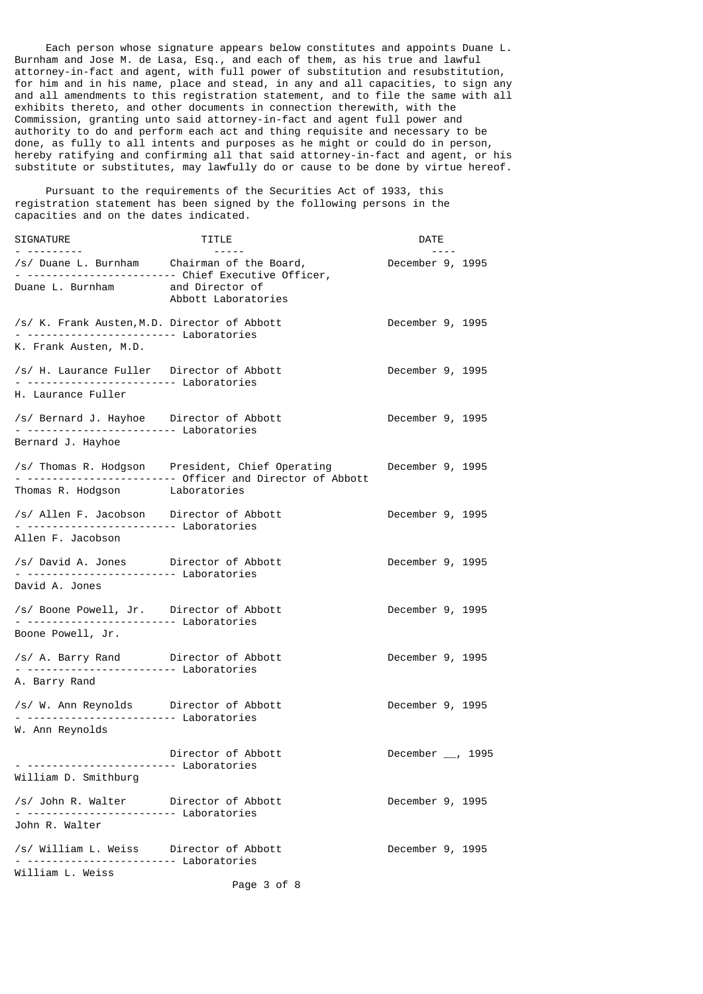Each person whose signature appears below constitutes and appoints Duane L. Burnham and Jose M. de Lasa, Esq., and each of them, as his true and lawful attorney-in-fact and agent, with full power of substitution and resubstitution, for him and in his name, place and stead, in any and all capacities, to sign any and all amendments to this registration statement, and to file the same with all exhibits thereto, and other documents in connection therewith, with the Commission, granting unto said attorney-in-fact and agent full power and authority to do and perform each act and thing requisite and necessary to be done, as fully to all intents and purposes as he might or could do in person, hereby ratifying and confirming all that said attorney-in-fact and agent, or his substitute or substitutes, may lawfully do or cause to be done by virtue hereof.

 Pursuant to the requirements of the Securities Act of 1933, this registration statement has been signed by the following persons in the capacities and on the dates indicated.

| SIGNATURE                                                                                                  | TITLE                                                                                                        | DATE                        |
|------------------------------------------------------------------------------------------------------------|--------------------------------------------------------------------------------------------------------------|-----------------------------|
|                                                                                                            | Abbott Laboratories                                                                                          | $- - -$<br>December 9, 1995 |
| Duane L. Burnham and Director of                                                                           |                                                                                                              |                             |
| /s/ K. Frank Austen, M.D. Director of Abbott<br>- ------------------------ Laboratories                    |                                                                                                              | December 9, 1995            |
| K. Frank Austen, M.D.                                                                                      |                                                                                                              |                             |
| /s/ H. Laurance Fuller Director of Abbott<br>- ------------------------ Laboratories<br>H. Laurance Fuller |                                                                                                              | December 9, 1995            |
| /s/ Bernard J. Hayhoe Director of Abbott<br>Bernard J. Hayhoe                                              |                                                                                                              | December 9, 1995            |
|                                                                                                            |                                                                                                              | December 9, 1995            |
| Thomas R. Hodgson Laboratories                                                                             | /s/ Thomas R. Hodgson President, Chief Operating<br>- ----------------------- Officer and Director of Abbott |                             |
| /s/ Allen F. Jacobson Director of Abbott                                                                   |                                                                                                              | December 9, 1995            |
| Allen F. Jacobson                                                                                          |                                                                                                              |                             |
| /s/ David A. Jones Director of Abbott<br>- ------------------------ Laboratories                           |                                                                                                              | December 9, 1995            |
| David A. Jones                                                                                             |                                                                                                              |                             |
| /s/ Boone Powell, Jr. Director of Abbott<br>Boone Powell, Jr.                                              | Laboratories                                                                                                 | December 9, 1995            |
| /s/ A. Barry Rand Director of Abbott                                                                       |                                                                                                              | December 9, 1995            |
| A. Barry Rand                                                                                              |                                                                                                              |                             |
| /s/ W. Ann Reynolds Director of Abbott                                                                     |                                                                                                              | December 9, 1995            |
| W. Ann Reynolds                                                                                            |                                                                                                              |                             |
| William D. Smithburg                                                                                       | Director of Abbott                                                                                           | December $\_\$ , 1995       |
| /s/ John R. Walter Director of Abbott                                                                      |                                                                                                              | December 9, 1995            |
| John R. Walter                                                                                             |                                                                                                              |                             |
| /s/ William L. Weiss Director of Abbott<br>Laboratories                                                    |                                                                                                              | December 9, 1995            |
| William L. Weiss                                                                                           | Page 3 of 8                                                                                                  |                             |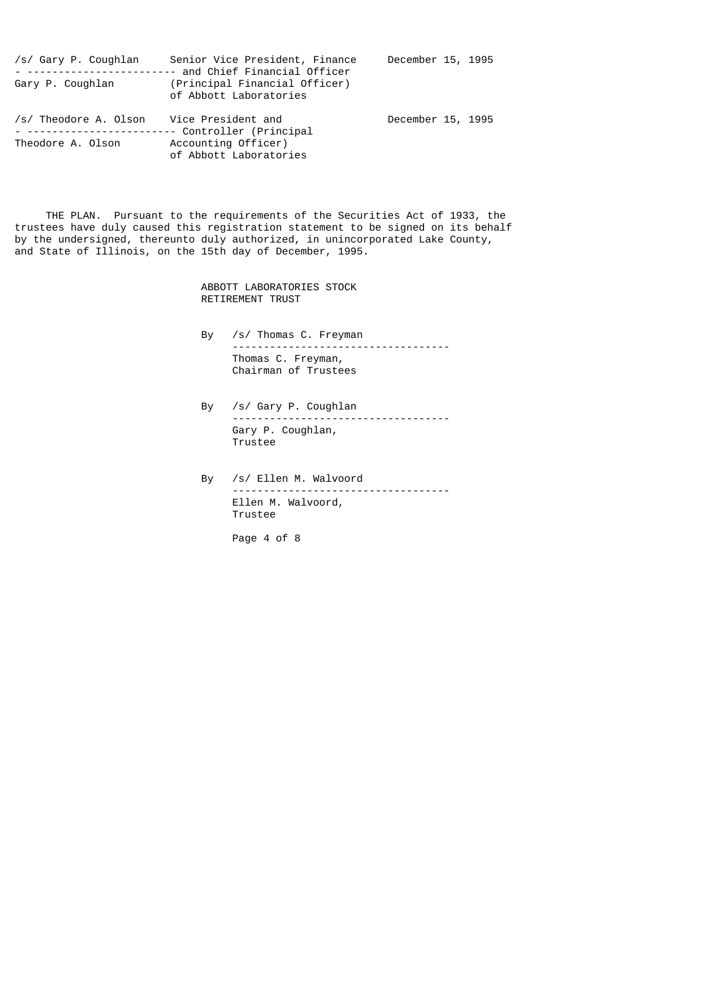| /s/ Gary P. Coughlan<br>Gary P. Coughlan   | Senior Vice President, Finance<br>- ----------------------- and Chief Financial Officer<br>(Principal Financial Officer)<br>of Abbott Laboratories | December 15, 1995 |  |
|--------------------------------------------|----------------------------------------------------------------------------------------------------------------------------------------------------|-------------------|--|
| /s/ Theodore A. Olson<br>Theodore A. Olson | Vice President and<br>Accounting Officer)                                                                                                          | December 15, 1995 |  |

of Abbott Laboratories

 THE PLAN. Pursuant to the requirements of the Securities Act of 1933, the trustees have duly caused this registration statement to be signed on its behalf by the undersigned, thereunto duly authorized, in unincorporated Lake County, and State of Illinois, on the 15th day of December, 1995.

> ABBOTT LABORATORIES STOCK RETIREMENT TRUST

- By /s/ Thomas C. Freyman ----------------------------------- Thomas C. Freyman, Chairman of Trustees
- By /s/ Gary P. Coughlan ----------------------------------- Gary P. Coughlan, Trustee
- By /s/ Ellen M. Walvoord ----------------------------------- Ellen M. Walvoord, Trustee

Page 4 of 8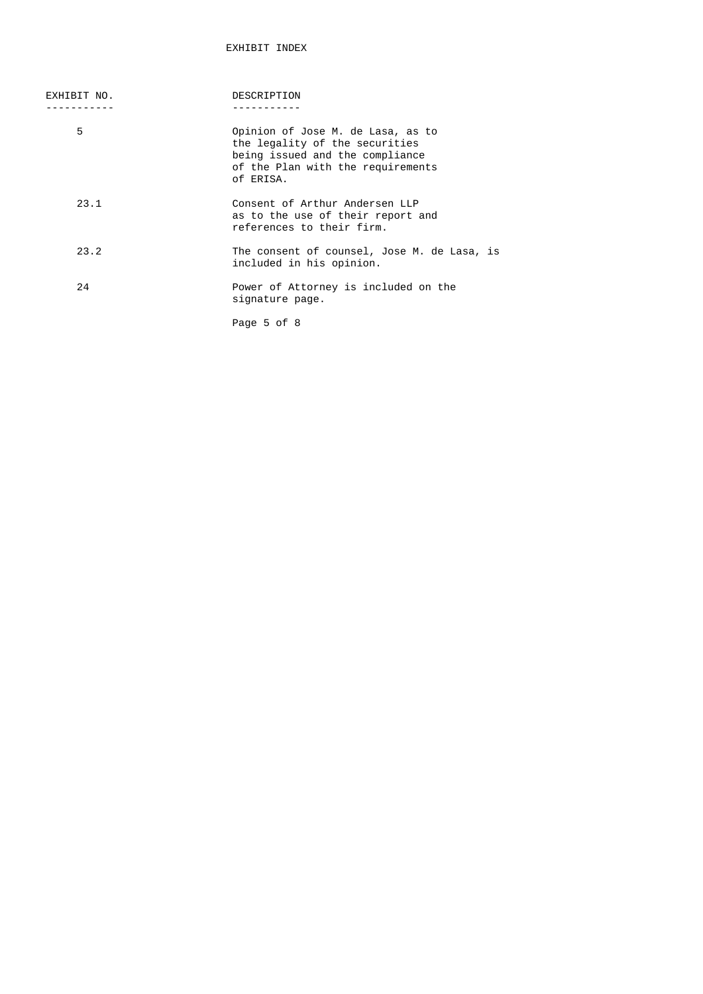| EXHIBIT NO. | DESCRIPTION                                                                                                                                              |
|-------------|----------------------------------------------------------------------------------------------------------------------------------------------------------|
|             |                                                                                                                                                          |
| 5           | Opinion of Jose M. de Lasa, as to<br>the legality of the securities<br>being issued and the compliance<br>of the Plan with the requirements<br>of ERISA. |
| 23.1        | Consent of Arthur Andersen LLP<br>as to the use of their report and<br>references to their firm.                                                         |
| 23.2        | The consent of counsel, Jose M. de Lasa, is<br>included in his opinion.                                                                                  |
| 24          | Power of Attorney is included on the<br>signature page.                                                                                                  |
|             | Page 5 of 8                                                                                                                                              |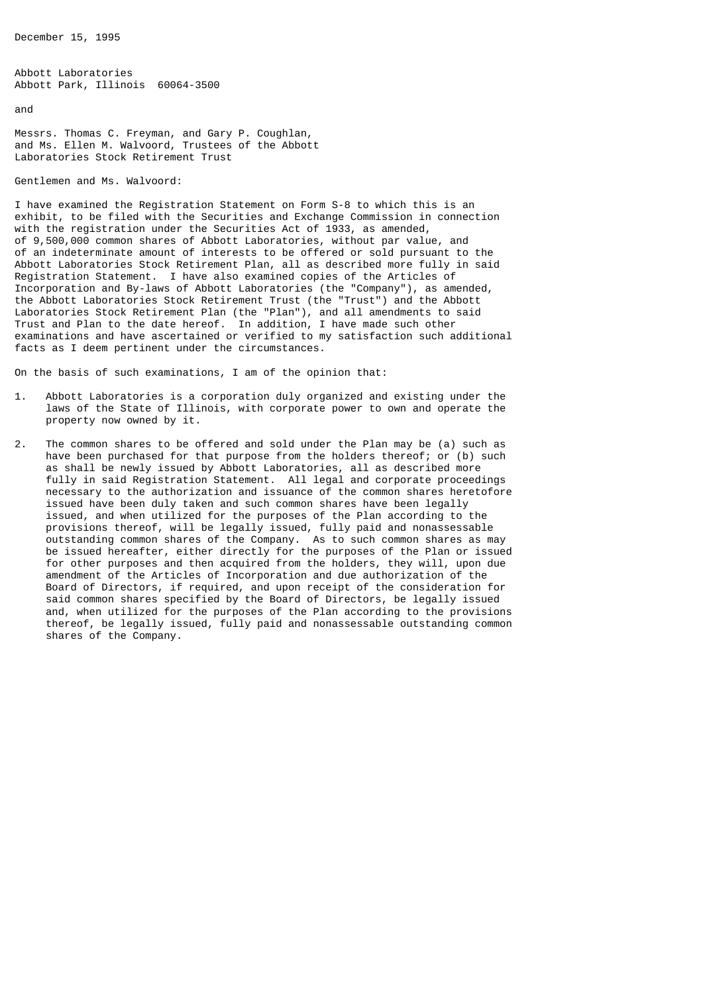December 15, 1995

Abbott Laboratories Abbott Park, Illinois 60064-3500

and

Messrs. Thomas C. Freyman, and Gary P. Coughlan, and Ms. Ellen M. Walvoord, Trustees of the Abbott Laboratories Stock Retirement Trust

Gentlemen and Ms. Walvoord:

I have examined the Registration Statement on Form S-8 to which this is an exhibit, to be filed with the Securities and Exchange Commission in connection with the registration under the Securities Act of 1933, as amended, of 9,500,000 common shares of Abbott Laboratories, without par value, and of an indeterminate amount of interests to be offered or sold pursuant to the Abbott Laboratories Stock Retirement Plan, all as described more fully in said Registration Statement. I have also examined copies of the Articles of Incorporation and By-laws of Abbott Laboratories (the "Company"), as amended, the Abbott Laboratories Stock Retirement Trust (the "Trust") and the Abbott Laboratories Stock Retirement Plan (the "Plan"), and all amendments to said Trust and Plan to the date hereof. In addition, I have made such other examinations and have ascertained or verified to my satisfaction such additional facts as I deem pertinent under the circumstances.

On the basis of such examinations, I am of the opinion that:

- 1. Abbott Laboratories is a corporation duly organized and existing under the laws of the State of Illinois, with corporate power to own and operate the property now owned by it.
- 2. The common shares to be offered and sold under the Plan may be (a) such as have been purchased for that purpose from the holders thereof; or (b) such as shall be newly issued by Abbott Laboratories, all as described more fully in said Registration Statement. All legal and corporate proceedings necessary to the authorization and issuance of the common shares heretofore issued have been duly taken and such common shares have been legally issued, and when utilized for the purposes of the Plan according to the provisions thereof, will be legally issued, fully paid and nonassessable outstanding common shares of the Company. As to such common shares as may be issued hereafter, either directly for the purposes of the Plan or issued for other purposes and then acquired from the holders, they will, upon due amendment of the Articles of Incorporation and due authorization of the Board of Directors, if required, and upon receipt of the consideration for said common shares specified by the Board of Directors, be legally issued and, when utilized for the purposes of the Plan according to the provisions thereof, be legally issued, fully paid and nonassessable outstanding common shares of the Company.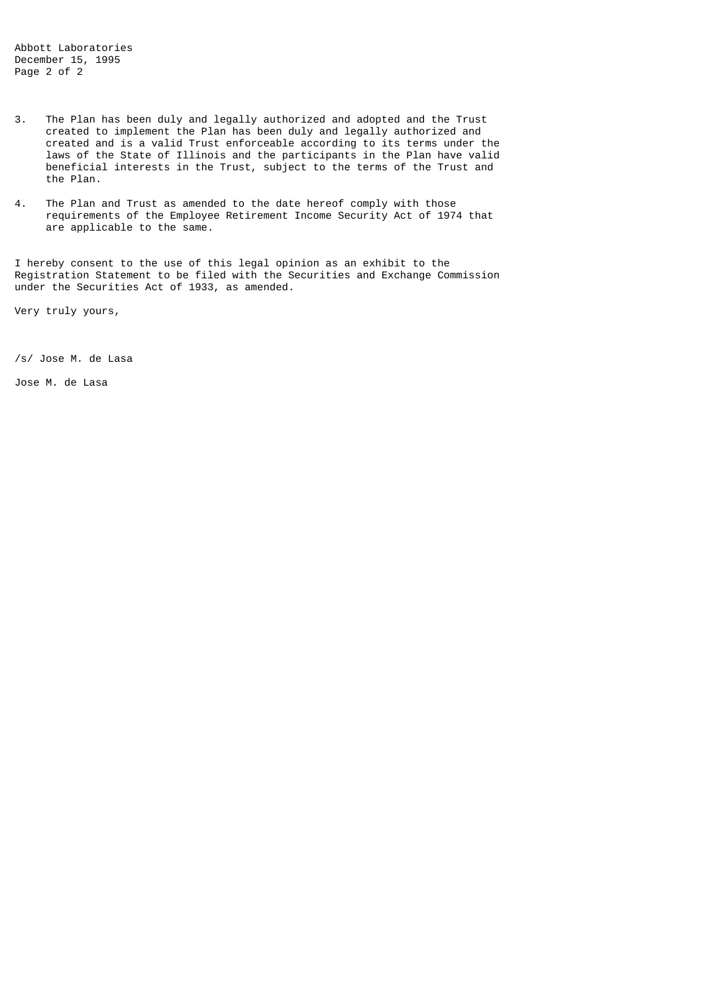Abbott Laboratories December 15, 1995 Page 2 of 2

- 3. The Plan has been duly and legally authorized and adopted and the Trust created to implement the Plan has been duly and legally authorized and created and is a valid Trust enforceable according to its terms under the laws of the State of Illinois and the participants in the Plan have valid beneficial interests in the Trust, subject to the terms of the Trust and the Plan.
- 4. The Plan and Trust as amended to the date hereof comply with those requirements of the Employee Retirement Income Security Act of 1974 that are applicable to the same.

I hereby consent to the use of this legal opinion as an exhibit to the Registration Statement to be filed with the Securities and Exchange Commission under the Securities Act of 1933, as amended.

Very truly yours,

/s/ Jose M. de Lasa

Jose M. de Lasa